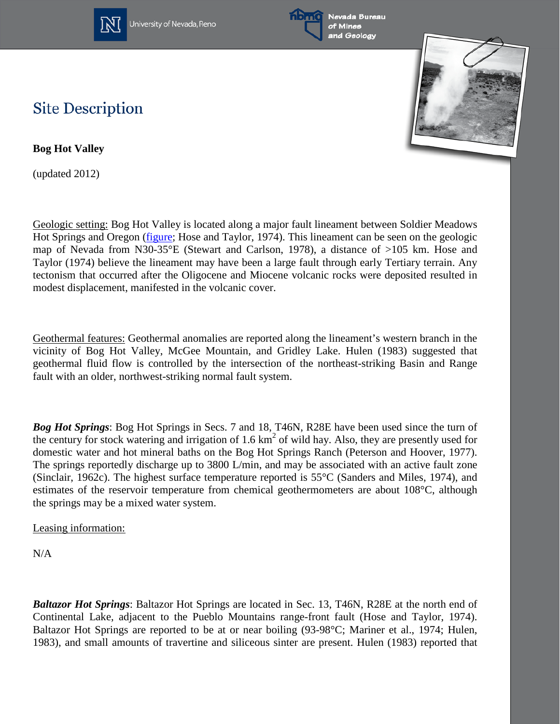

University of Nevada, Reno





## **Site Description**

**Bog Hot Valley**

(updated 2012)

Geologic setting: Bog Hot Valley is located along a major fault lineament between Soldier Meadows Hot Springs and Oregon [\(figure;](http://www.nbmg.unr.edu/geothermal/figures/fig28.pdf) Hose and Taylor, 1974). This lineament can be seen on the geologic map of Nevada from N30-35°E (Stewart and Carlson, 1978), a distance of >105 km. Hose and Taylor (1974) believe the lineament may have been a large fault through early Tertiary terrain. Any tectonism that occurred after the Oligocene and Miocene volcanic rocks were deposited resulted in modest displacement, manifested in the volcanic cover.

Geothermal features: Geothermal anomalies are reported along the lineament's western branch in the vicinity of Bog Hot Valley, McGee Mountain, and Gridley Lake. Hulen (1983) suggested that geothermal fluid flow is controlled by the intersection of the northeast-striking Basin and Range fault with an older, northwest-striking normal fault system.

*Bog Hot Springs*: Bog Hot Springs in Secs. 7 and 18, T46N, R28E have been used since the turn of the century for stock watering and irrigation of 1.6 km<sup>2</sup> of wild hay. Also, they are presently used for domestic water and hot mineral baths on the Bog Hot Springs Ranch (Peterson and Hoover, 1977). The springs reportedly discharge up to 3800 L/min, and may be associated with an active fault zone (Sinclair, 1962c). The highest surface temperature reported is 55°C (Sanders and Miles, 1974), and estimates of the reservoir temperature from chemical geothermometers are about 108°C, although the springs may be a mixed water system.

Leasing information:

N/A

*Baltazor Hot Springs*: Baltazor Hot Springs are located in Sec. 13, T46N, R28E at the north end of Continental Lake, adjacent to the Pueblo Mountains range-front fault (Hose and Taylor, 1974). Baltazor Hot Springs are reported to be at or near boiling (93-98°C; Mariner et al., 1974; Hulen, 1983), and small amounts of travertine and siliceous sinter are present. Hulen (1983) reported that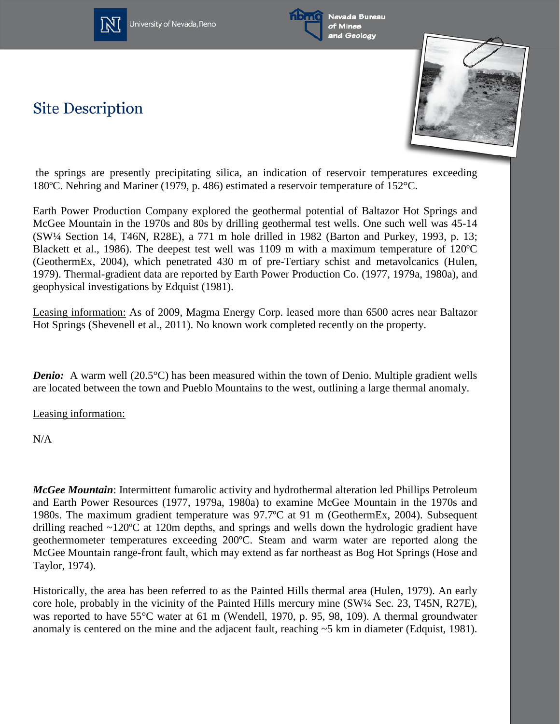

University of Nevada, Reno



Nevada Bureau of Mines and Geology

## **Site Description**



the springs are presently precipitating silica, an indication of reservoir temperatures exceeding 180ºC. Nehring and Mariner (1979, p. 486) estimated a reservoir temperature of 152°C.

Earth Power Production Company explored the geothermal potential of Baltazor Hot Springs and McGee Mountain in the 1970s and 80s by drilling geothermal test wells. One such well was 45-14 (SW¼ Section 14, T46N, R28E), a 771 m hole drilled in 1982 (Barton and Purkey, 1993, p. 13; Blackett et al., 1986). The deepest test well was 1109 m with a maximum temperature of 120ºC (GeothermEx, 2004), which penetrated 430 m of pre-Tertiary schist and metavolcanics (Hulen, 1979). Thermal-gradient data are reported by Earth Power Production Co. (1977, 1979a, 1980a), and geophysical investigations by Edquist (1981).

Leasing information: As of 2009, Magma Energy Corp. leased more than 6500 acres near Baltazor Hot Springs (Shevenell et al., 2011). No known work completed recently on the property.

*Denio:* A warm well (20.5°C) has been measured within the town of Denio. Multiple gradient wells are located between the town and Pueblo Mountains to the west, outlining a large thermal anomaly.

Leasing information:

N/A

*McGee Mountain*: Intermittent fumarolic activity and hydrothermal alteration led Phillips Petroleum and Earth Power Resources (1977, 1979a, 1980a) to examine McGee Mountain in the 1970s and 1980s. The maximum gradient temperature was 97.7ºC at 91 m (GeothermEx, 2004). Subsequent drilling reached ~120°C at 120m depths, and springs and wells down the hydrologic gradient have geothermometer temperatures exceeding 200ºC. Steam and warm water are reported along the McGee Mountain range-front fault, which may extend as far northeast as Bog Hot Springs (Hose and Taylor, 1974).

Historically, the area has been referred to as the Painted Hills thermal area (Hulen, 1979). An early core hole, probably in the vicinity of the Painted Hills mercury mine (SW¼ Sec. 23, T45N, R27E), was reported to have 55°C water at 61 m (Wendell, 1970, p. 95, 98, 109). A thermal groundwater anomaly is centered on the mine and the adjacent fault, reaching ~5 km in diameter (Edquist, 1981).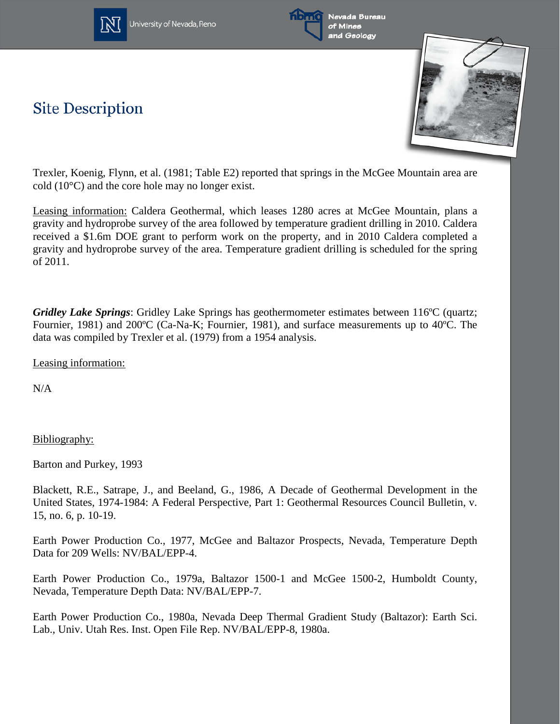







Trexler, Koenig, Flynn, et al. (1981; Table E2) reported that springs in the McGee Mountain area are cold (10°C) and the core hole may no longer exist.

Leasing information: Caldera Geothermal, which leases 1280 acres at McGee Mountain, plans a gravity and hydroprobe survey of the area followed by temperature gradient drilling in 2010. Caldera received a \$1.6m DOE grant to perform work on the property, and in 2010 Caldera completed a gravity and hydroprobe survey of the area. Temperature gradient drilling is scheduled for the spring of 2011.

*Gridley Lake Springs*: Gridley Lake Springs has geothermometer estimates between 116ºC (quartz; Fournier, 1981) and 200ºC (Ca-Na-K; Fournier, 1981), and surface measurements up to 40ºC. The data was compiled by Trexler et al. (1979) from a 1954 analysis.

Leasing information:

N/A

Bibliography:

Barton and Purkey, 1993

Blackett, R.E., Satrape, J., and Beeland, G., 1986, A Decade of Geothermal Development in the United States, 1974-1984: A Federal Perspective, Part 1: Geothermal Resources Council Bulletin, v. 15, no. 6, p. 10-19.

Earth Power Production Co., 1977, McGee and Baltazor Prospects, Nevada, Temperature Depth Data for 209 Wells: NV/BAL/EPP-4.

Earth Power Production Co., 1979a, Baltazor 1500-1 and McGee 1500-2, Humboldt County, Nevada, Temperature Depth Data: NV/BAL/EPP-7.

Earth Power Production Co., 1980a, Nevada Deep Thermal Gradient Study (Baltazor): Earth Sci. Lab., Univ. Utah Res. Inst. Open File Rep. NV/BAL/EPP-8, 1980a.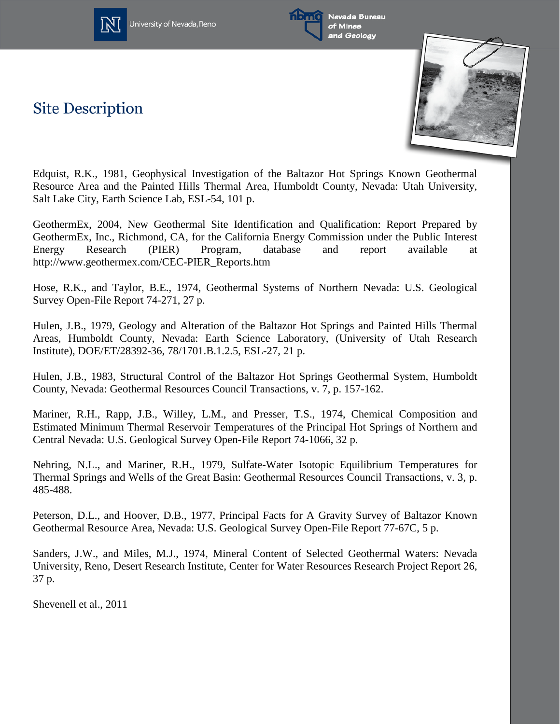



Nevada Bureau of Mines and Geology

**Site Description** 



Edquist, R.K., 1981, Geophysical Investigation of the Baltazor Hot Springs Known Geothermal Resource Area and the Painted Hills Thermal Area, Humboldt County, Nevada: Utah University, Salt Lake City, Earth Science Lab, ESL-54, 101 p.

GeothermEx, 2004, New Geothermal Site Identification and Qualification: Report Prepared by GeothermEx, Inc., Richmond, CA, for the California Energy Commission under the Public Interest Energy Research (PIER) Program, database and report available at http://www.geothermex.com/CEC-PIER\_Reports.htm

Hose, R.K., and Taylor, B.E., 1974, Geothermal Systems of Northern Nevada: U.S. Geological Survey Open-File Report 74-271, 27 p.

Hulen, J.B., 1979, Geology and Alteration of the Baltazor Hot Springs and Painted Hills Thermal Areas, Humboldt County, Nevada: Earth Science Laboratory, (University of Utah Research Institute), DOE/ET/28392-36, 78/1701.B.1.2.5, ESL-27, 21 p.

Hulen, J.B., 1983, Structural Control of the Baltazor Hot Springs Geothermal System, Humboldt County, Nevada: Geothermal Resources Council Transactions, v. 7, p. 157-162.

Mariner, R.H., Rapp, J.B., Willey, L.M., and Presser, T.S., 1974, Chemical Composition and Estimated Minimum Thermal Reservoir Temperatures of the Principal Hot Springs of Northern and Central Nevada: U.S. Geological Survey Open-File Report 74-1066, 32 p.

Nehring, N.L., and Mariner, R.H., 1979, Sulfate-Water Isotopic Equilibrium Temperatures for Thermal Springs and Wells of the Great Basin: Geothermal Resources Council Transactions, v. 3, p. 485-488.

Peterson, D.L., and Hoover, D.B., 1977, Principal Facts for A Gravity Survey of Baltazor Known Geothermal Resource Area, Nevada: U.S. Geological Survey Open-File Report 77-67C, 5 p.

Sanders, J.W., and Miles, M.J., 1974, Mineral Content of Selected Geothermal Waters: Nevada University, Reno, Desert Research Institute, Center for Water Resources Research Project Report 26, 37 p.

Shevenell et al., 2011